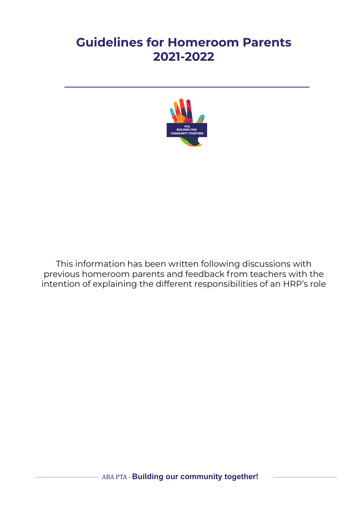# **Guidelines for Homeroom Parents 2021-2022**



This information has been written following discussions with previous homeroom parents and feedback from teachers with the intention of explaining the different responsibilities of an HRP's role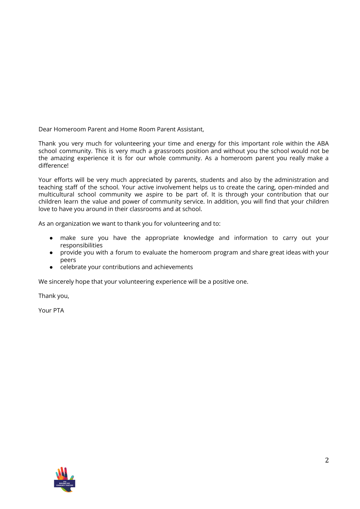Dear Homeroom Parent and Home Room Parent Assistant,

Thank you very much for volunteering your time and energy for this important role within the ABA school community. This is very much a grassroots position and without you the school would not be the amazing experience it is for our whole community. As a homeroom parent you really make a difference!

Your efforts will be very much appreciated by parents, students and also by the administration and teaching staff of the school. Your active involvement helps us to create the caring, open-minded and multicultural school community we aspire to be part of. It is through your contribution that our children learn the value and power of community service. In addition, you will find that your children love to have you around in their classrooms and at school.

As an organization we want to thank you for volunteering and to:

- make sure you have the appropriate knowledge and information to carry out your responsibilities
- provide you with a forum to evaluate the homeroom program and share great ideas with your peers
- celebrate your contributions and achievements

We sincerely hope that your volunteering experience will be a positive one.

Thank you,

Your PTA

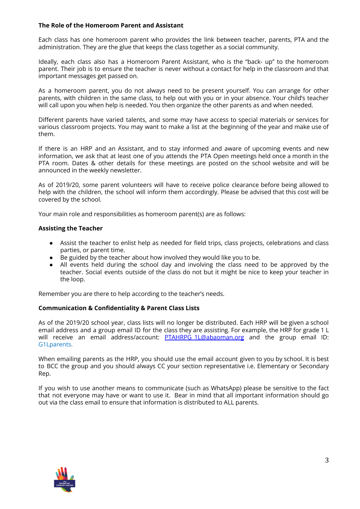## **The Role of the Homeroom Parent and Assistant**

Each class has one homeroom parent who provides the link between teacher, parents, PTA and the administration. They are the glue that keeps the class together as a social community.

Ideally, each class also has a Homeroom Parent Assistant, who is the "back- up" to the homeroom parent. Their job is to ensure the teacher is never without a contact for help in the classroom and that important messages get passed on.

As a homeroom parent, you do not always need to be present yourself. You can arrange for other parents, with children in the same class, to help out with you or in your absence. Your child's teacher will call upon you when help is needed. You then organize the other parents as and when needed.

Different parents have varied talents, and some may have access to special materials or services for various classroom projects. You may want to make a list at the beginning of the year and make use of them.

If there is an HRP and an Assistant, and to stay informed and aware of upcoming events and new information, we ask that at least one of you attends the PTA Open meetings held once a month in the PTA room. Dates & other details for these meetings are posted on the school website and will be announced in the weekly newsletter.

As of 2019/20, some parent volunteers will have to receive police clearance before being allowed to help with the children, the school will inform them accordingly. Please be advised that this cost will be covered by the school.

Your main role and responsibilities as homeroom parent(s) are as follows:

## **Assisting the Teacher**

- Assist the teacher to enlist help as needed for field trips, class projects, celebrations and class parties, or parent time.
- Be guided by the teacher about how involved they would like you to be.
- All events held during the school day and involving the class need to be approved by the teacher. Social events outside of the class do not but it might be nice to keep your teacher in the loop.

Remember you are there to help according to the teacher's needs.

## **Communication & Confidentiality & Parent Class Lists**

As of the 2019/20 school year, class lists will no longer be distributed. Each HRP will be given a school email address and a group email ID for the class they are assisting. For example, the HRP for grade 1 L will receive an email address/account: [PTAHRPG\\_1L@abaoman.org](mailto:PTAHRPG_1L@abaoman.org) and the group email ID: G1Lparents.

When emailing parents as the HRP, you should use the email account given to you by school. It is best to BCC the group and you should always CC your section representative i.e. Elementary or Secondary Rep.

If you wish to use another means to communicate (such as WhatsApp) please be sensitive to the fact that not everyone may have or want to use it. Bear in mind that all important information should go out via the class email to ensure that information is distributed to ALL parents.

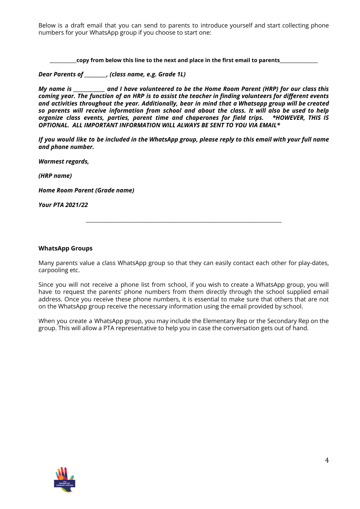Below is a draft email that you can send to parents to introduce yourself and start collecting phone numbers for your WhatsApp group if you choose to start one:

**\_\_\_\_\_\_\_\_\_\_\_\_copy from below this line to the next and place in the first email to parents\_\_\_\_\_\_\_\_\_\_\_\_\_\_\_\_\_**

*Dear Parents of \_\_\_\_\_\_\_\_\_, (class name, e.g. Grade 1L)*

My name is \_\_\_\_\_\_\_\_\_\_\_\_ and I have volunteered to be the Home Room Parent (HRP) for our class this coming year. The function of an HRP is to assist the teacher in finding volunteers for different events *and activities throughout the year. Additionally, bear in mind that a Whatsapp group will be created so parents will receive information from school and about the class. It will also be used to help organize class events, parties, parent time and chaperones for field trips. \*HOWEVER, THIS IS OPTIONAL. ALL IMPORTANT INFORMATION WILL ALWAYS BE SENT TO YOU VIA EMAIL\**

If you would like to be included in the WhatsApp group, please reply to this email with your full name *and phone number.*

*Warmest regards,*

*(HRP name)*

*Home Room Parent (Grade name)*

*Your PTA 2021/22*

#### **WhatsApp Groups**

Many parents value a class WhatsApp group so that they can easily contact each other for play-dates, carpooling etc.

\_\_\_\_\_\_\_\_\_\_\_\_\_\_\_\_\_\_\_\_\_\_\_\_\_\_\_\_\_\_\_\_\_\_\_\_\_\_\_\_\_\_\_\_\_\_\_\_\_\_\_\_\_\_\_\_\_\_\_\_\_\_\_\_\_\_\_\_\_\_\_\_\_\_

Since you will not receive a phone list from school, if you wish to create a WhatsApp group, you will have to request the parents' phone numbers from them directly through the school supplied email address. Once you receive these phone numbers, it is essential to make sure that others that are not on the WhatsApp group receive the necessary information using the email provided by school.

When you create a WhatsApp group, you may include the Elementary Rep or the Secondary Rep on the group. This will allow a PTA representative to help you in case the conversation gets out of hand.

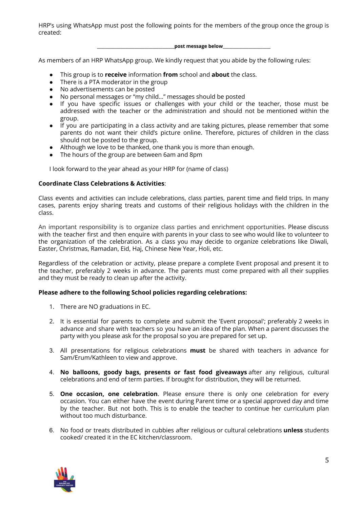HRP's using WhatsApp must post the following points for the members of the group once the group is created:

**\_\_\_\_\_\_\_\_\_\_\_\_\_\_\_\_\_\_\_\_\_\_\_\_\_\_\_\_\_\_\_\_\_\_\_\_\_\_\_post message below\_\_\_\_\_\_\_\_\_\_\_\_\_\_\_\_\_\_\_\_\_\_\_\_**

As members of an HRP WhatsApp group. We kindly request that you abide by the following rules:

- This group is to **receive** information **from** school and **about** the class.
- There is a PTA moderator in the group
- No advertisements can be posted
- No personal messages or "my child..." messages should be posted
- If you have specific issues or challenges with your child or the teacher, those must be addressed with the teacher or the administration and should not be mentioned within the group.
- If you are participating in a class activity and are taking pictures, please remember that some parents do not want their child's picture online. Therefore, pictures of children in the class should not be posted to the group.
- Although we love to be thanked, one thank you is more than enough.
- The hours of the group are between 6am and 8pm

I look forward to the year ahead as your HRP for (name of class)

## **Coordinate Class Celebrations & Activities**:

Class events and activities can include celebrations, class parties, parent time and field trips. In many cases, parents enjoy sharing treats and customs of their religious holidays with the children in the class.

An important responsibility is to organize class parties and enrichment opportunities. Please discuss with the teacher first and then enquire with parents in your class to see who would like to volunteer to the organization of the celebration. As a class you may decide to organize celebrations like Diwali, Easter, Christmas, Ramadan, Eid, Haj, Chinese New Year, Holi, etc.

Regardless of the celebration or activity, please prepare a complete Event proposal and present it to the teacher, preferably 2 weeks in advance. The parents must come prepared with all their supplies and they must be ready to clean up after the activity.

## **Please adhere to the following School policies regarding celebrations:**

- 1. There are NO graduations in EC.
- 2. It is essential for parents to complete and submit the 'Event proposal'; preferably 2 weeks in advance and share with teachers so you have an idea of the plan. When a parent discusses the party with you please ask for the proposal so you are prepared for set up.
- 3. All presentations for religious celebrations **must** be shared with teachers in advance for Sam/Erum/Kathleen to view and approve.
- 4. **No balloons, goody bags, presents or fast food giveaways** after any religious, cultural celebrations and end of term parties. If brought for distribution, they will be returned.
- 5. **One occasion, one celebration**. Please ensure there is only one celebration for every occasion. You can either have the event during Parent time or a special approved day and time by the teacher. But not both. This is to enable the teacher to continue her curriculum plan without too much disturbance.
- 6. No food or treats distributed in cubbies after religious or cultural celebrations **unless** students cooked/ created it in the EC kitchen/classroom.

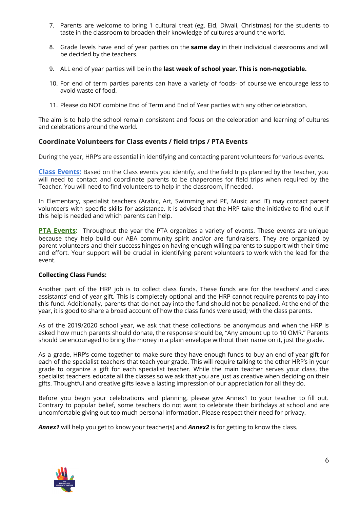- 7. Parents are welcome to bring 1 cultural treat (eg. Eid, Diwali, Christmas) for the students to taste in the classroom to broaden their knowledge of cultures around the world.
- 8. Grade levels have end of year parties on the **same day** in their individual classrooms and will be decided by the teachers.
- 9. ALL end of year parties will be in the **last week of school year. This is non-negotiable.**
- 10. For end of term parties parents can have a variety of foods- of course we encourage less to avoid waste of food.
- 11. Please do NOT combine End of Term and End of Year parties with any other celebration.

The aim is to help the school remain consistent and focus on the celebration and learning of cultures and celebrations around the world.

## **Coordinate Volunteers for Class events / field trips / PTA Events**

During the year, HRP's are essential in identifying and contacting parent volunteers for various events.

**Class Events:** Based on the Class events you identify, and the field trips planned by the Teacher, you will need to contact and coordinate parents to be chaperones for field trips when required by the Teacher. You will need to find volunteers to help in the classroom, if needed.

In Elementary, specialist teachers (Arabic, Art, Swimming and PE, Music and IT) may contact parent volunteers with specific skills for assistance. It is advised that the HRP take the initiative to find out if this help is needed and which parents can help.

**PTA Events:** Throughout the year the PTA organizes a variety of events. These events are unique because they help build our ABA community spirit and/or are fundraisers. They are organized by parent volunteers and their success hinges on having enough willing parents to support with their time and effort. Your support will be crucial in identifying parent volunteers to work with the lead for the event.

## **Collecting Class Funds:**

Another part of the HRP job is to collect class funds. These funds are for the teachers' and class assistants' end of year gift. This is completely optional and the HRP cannot require parents to pay into this fund. Additionally, parents that do not pay into the fund should not be penalized. At the end of the year, it is good to share a broad account of how the class funds were used; with the class parents.

As of the 2019/2020 school year, we ask that these collections be anonymous and when the HRP is asked how much parents should donate, the response should be, "Any amount up to 10 OMR." Parents should be encouraged to bring the money in a plain envelope without their name on it, just the grade.

As a grade, HRP's come together to make sure they have enough funds to buy an end of year gift for each of the specialist teachers that teach your grade. This will require talking to the other HRP's in your grade to organize a gift for each specialist teacher. While the main teacher serves your class, the specialist teachers educate all the classes so we ask that you are just as creative when deciding on their gifts. Thoughtful and creative gifts leave a lasting impression of our appreciation for all they do.

Before you begin your celebrations and planning, please give Annex1 to your teacher to fill out. Contrary to popular belief, some teachers do not want to celebrate their birthdays at school and are uncomfortable giving out too much personal information. Please respect their need for privacy.

*Annex1* will help you get to know your teacher(s) and *Annex2* is for getting to know the class.

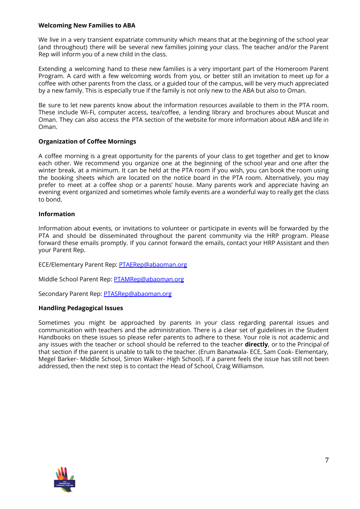## **Welcoming New Families to ABA**

We live in a very transient expatriate community which means that at the beginning of the school year (and throughout) there will be several new families joining your class. The teacher and/or the Parent Rep will inform you of a new child in the class.

Extending a welcoming hand to these new families is a very important part of the Homeroom Parent Program. A card with a few welcoming words from you, or better still an invitation to meet up for a coffee with other parents from the class, or a guided tour of the campus, will be very much appreciated by a new family. This is especially true if the family is not only new to the ABA but also to Oman.

Be sure to let new parents know about the information resources available to them in the PTA room. These include Wi-Fi, computer access, tea/coffee, a lending library and brochures about Muscat and Oman. They can also access the PTA section of the website for more information about ABA and life in Oman.

## **Organization of Coffee Mornings**

A coffee morning is a great opportunity for the parents of your class to get together and get to know each other. We recommend you organize one at the beginning of the school year and one after the winter break, at a minimum. It can be held at the PTA room if you wish, you can book the room using the booking sheets which are located on the notice board in the PTA room. Alternatively, you may prefer to meet at a coffee shop or a parents' house. Many parents work and appreciate having an evening event organized and sometimes whole family events are a wonderful way to really get the class to bond.

## **Information**

Information about events, or invitations to volunteer or participate in events will be forwarded by the PTA and should be disseminated throughout the parent community via the HRP program. Please forward these emails promptly. If you cannot forward the emails, contact your HRP Assistant and then your Parent Rep.

ECE/Elementary Parent Rep: [PTAERep@abaoman.org](mailto:PTAERep@abaoman.org)

Middle School Parent Rep: [PTAMRep@abaoman.org](mailto:PTAMRep@abaoman.org)

Secondary Parent Rep: [PTASRep@abaoman.org](mailto:PTASRep@abaoman.org)

## **Handling Pedagogical Issues**

Sometimes you might be approached by parents in your class regarding parental issues and communication with teachers and the administration. There is a clear set of guidelines in the Student Handbooks on these issues so please refer parents to adhere to these. Your role is not academic and any issues with the teacher or school should be referred to the teacher **directly**, or to the Principal of that section if the parent is unable to talk to the teacher. (Erum Banatwala- ECE, Sam Cook- Elementary, Megel Barker- Middle School, Simon Walker- High School). If a parent feels the issue has still not been addressed, then the next step is to contact the Head of School, Craig Williamson.

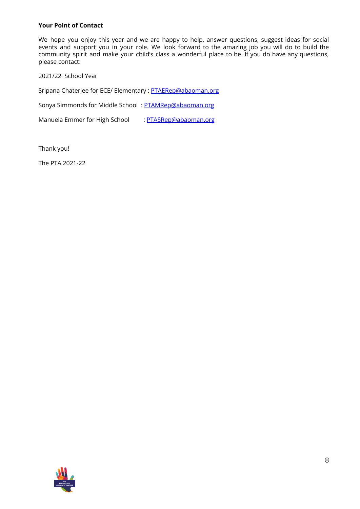## **Your Point of Contact**

We hope you enjoy this year and we are happy to help, answer questions, suggest ideas for social events and support you in your role. We look forward to the amazing job you will do to build the community spirit and make your child's class a wonderful place to be. If you do have any questions, please contact:

2021/22 School Year

Sripana Chaterjee for ECE/ Elementary : [PTAERep@abaoman.org](mailto:PTAERep@abaoman.org)

Sonya Simmonds for Middle School : [PTAMRep@abaoman.org](mailto:PTAERep@abaoman.org)

Manuela Emmer for High School : [PTASRep@abaoman.org](mailto:PTASRep@abaoman.org)

Thank you!

The PTA 2021-22

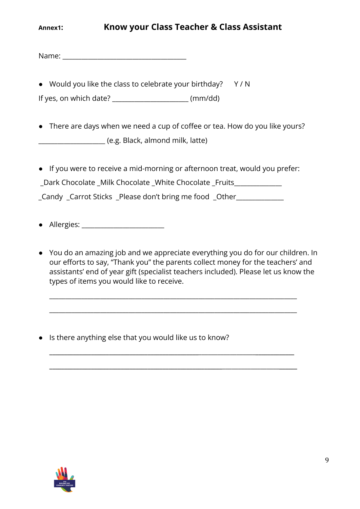Name:  $\blacksquare$ 

● Would you like the class to celebrate your birthday? Y/N

If yes, on which date? \_\_\_\_\_\_\_\_\_\_\_\_\_\_\_\_\_\_\_\_\_\_\_\_ (mm/dd)

- There are days when we need a cup of coffee or tea. How do you like yours? \_\_\_\_\_\_\_\_\_\_\_\_\_\_\_\_\_\_\_\_\_ (e.g. Black, almond milk, latte)
- If you were to receive a mid-morning or afternoon treat, would you prefer: Dark Chocolate \_Milk Chocolate \_White Chocolate \_Fruits \_Candy \_Carrot Sticks \_Please don't bring me food \_Other\_\_\_\_\_\_\_\_\_\_\_\_\_\_\_
- Allergies: \_\_\_\_\_\_\_\_\_\_\_\_\_\_\_\_\_\_\_\_\_\_\_\_\_\_
- You do an amazing job and we appreciate everything you do for our children. In our efforts to say, "Thank you" the parents collect money for the teachers' and assistants' end of year gift (specialist teachers included). Please let us know the types of items you would like to receive.

\_\_\_\_\_\_\_\_\_\_\_\_\_\_\_\_\_\_\_\_\_\_\_\_\_\_\_\_\_\_\_\_\_\_\_\_\_\_\_\_\_\_\_\_\_\_\_\_\_\_\_\_\_\_\_\_\_\_\_\_\_\_\_\_\_\_\_\_\_\_\_\_\_\_\_\_\_\_

\_\_\_\_\_\_\_\_\_\_\_\_\_\_\_\_\_\_\_\_\_\_\_\_\_\_\_\_\_\_\_\_\_\_\_\_\_\_\_\_\_\_\_\_\_\_\_\_\_\_\_\_\_\_\_\_\_\_\_\_\_\_\_\_\_\_\_\_\_\_\_\_\_\_\_\_\_\_

**\_\_\_\_\_\_\_\_\_\_\_\_\_\_\_\_\_\_\_\_\_\_\_\_\_\_\_\_\_\_\_\_\_\_\_\_\_\_\_\_\_\_\_\_\_\_\_\_\_\_**\_\_\_\_\_\_\_\_\_\_\_\_\_\_\_\_\_\_**\_\_\_\_\_\_\_\_\_\_\_\_\_**

**\_\_\_\_\_\_\_\_\_\_\_\_\_\_\_\_\_\_\_\_\_\_\_\_\_\_\_\_\_\_\_\_\_\_\_\_\_\_\_\_\_\_\_\_\_\_\_\_\_\_\_\_\_\_\_\_\_\_**\_\_\_\_\_\_\_\_\_\_\_\_\_\_\_\_\_\_**\_\_\_\_\_\_**

● Is there anything else that you would like us to know?